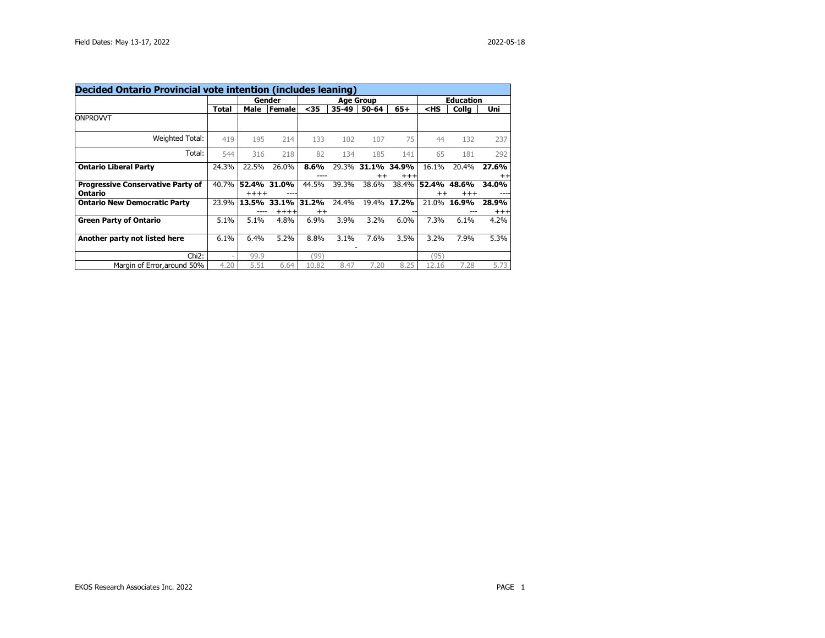| Decided Ontario Provincial vote intention (includes leaning) |                          |         |                       |                  |       |                  |                   |                                             |                   |                   |  |
|--------------------------------------------------------------|--------------------------|---------|-----------------------|------------------|-------|------------------|-------------------|---------------------------------------------|-------------------|-------------------|--|
|                                                              |                          | Gender  |                       | <b>Age Group</b> |       |                  |                   | <b>Education</b>                            |                   |                   |  |
|                                                              | Total                    | Male    | <b>Female</b>         | $35$             | 35-49 | 50-64            | $65+$             | <hs< th=""><th>Colla</th><th>Uni</th></hs<> | Colla             | Uni               |  |
| ONPROVVT                                                     |                          |         |                       |                  |       |                  |                   |                                             |                   |                   |  |
| Weighted Total:                                              | 419                      | 195     | 214                   | 133              | 102   | 107              | 75                | 44                                          | 132               | 237               |  |
| Total:                                                       | 544                      | 316     | 218                   | 82               | 134   | 185              | 141               | 65                                          | 181               | 292               |  |
| <b>Ontario Liberal Party</b>                                 | 24.3%                    | 22.5%   | 26.0%                 | 8.6%<br>----     | 29.3% | 31.1%<br>$^{++}$ | 34.9%<br>$^{+++}$ | 16.1%                                       | 20.4%             | 27.6%<br>$^{++}$  |  |
| <b>Progressive Conservative Party of</b><br>Ontario          | 40.7%                    | $+++++$ | 52.4% 31.0%           | 44.5%            | 39.3% | 38.6%            | 38.4%             | 52.4% 48.6%<br>$^{++}$                      | $^{\mathrm{+++}}$ | 34.0%             |  |
| <b>Ontario New Democratic Party</b>                          | 23.9%                    |         | 13.5% 33.1%<br>$++++$ | 31.2%<br>$^{++}$ | 24.4% |                  | 19.4% 17.2%       | 21.0%                                       | 16.9%             | 28.9%<br>$^{+++}$ |  |
| <b>Green Party of Ontario</b>                                | 5.1%                     | 5.1%    | 4.8%                  | 6.9%             | 3.9%  | 3.2%             | 6.0%              | 7.3%                                        | 6.1%              | 4.2%              |  |
| Another party not listed here                                | 6.1%                     | 6.4%    | 5.2%                  | 8.8%             | 3.1%  | 7.6%             | 3.5%              | 3.2%                                        | 7.9%              | 5.3%              |  |
| Chi <sub>2</sub> :                                           | $\overline{\phantom{0}}$ | 99.9    |                       | (99)             |       |                  |                   | (95)                                        |                   |                   |  |
| Margin of Error, around 50%                                  | 4.20                     | 5.51    | 6.64                  | 10.82            | 8.47  | 7.20             | 8.25              | 12.16                                       | 7.28              | 5.73              |  |